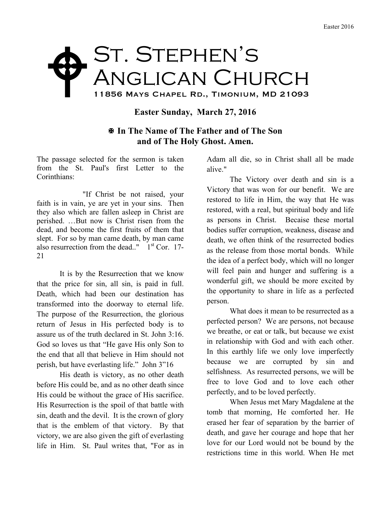## ST. STEPHEN'S Anglican Church 11856 Mays Chapel Rd., Timonium, MD 21093  $\blacklozenge$

## **Easter Sunday, March 27, 2016**

## X **In The Name of The Father and of The Son and of The Holy Ghost. Amen.**

The passage selected for the sermon is taken from the St. Paul's first Letter to the Corinthians:

"If Christ be not raised, your faith is in vain, ye are yet in your sins. Then they also which are fallen asleep in Christ are perished. …But now is Christ risen from the dead, and become the first fruits of them that slept. For so by man came death, by man came also resurrection from the dead.."  $1<sup>st</sup>$  Cor. 17-21

It is by the Resurrection that we know that the price for sin, all sin, is paid in full. Death, which had been our destination has transformed into the doorway to eternal life. The purpose of the Resurrection, the glorious return of Jesus in His perfected body is to assure us of the truth declared in St. John 3:16. God so loves us that "He gave His only Son to the end that all that believe in Him should not perish, but have everlasting life." John 3"16

His death is victory, as no other death before His could be, and as no other death since His could be without the grace of His sacrifice. His Resurrection is the spoil of that battle with sin, death and the devil. It is the crown of glory that is the emblem of that victory. By that victory, we are also given the gift of everlasting life in Him. St. Paul writes that, "For as in

Adam all die, so in Christ shall all be made alive."

The Victory over death and sin is a Victory that was won for our benefit. We are restored to life in Him, the way that He was restored, with a real, but spiritual body and life as persons in Christ. Becaise these mortal bodies suffer corruption, weakness, disease and death, we often think of the resurrected bodies as the release from those mortal bonds. While the idea of a perfect body, which will no longer will feel pain and hunger and suffering is a wonderful gift, we should be more excited by the opportunity to share in life as a perfected person.

What does it mean to be resurrected as a perfected person? We are persons, not because we breathe, or eat or talk, but because we exist in relationship with God and with each other. In this earthly life we only love imperfectly because we are corrupted by sin and selfishness. As resurrected persons, we will be free to love God and to love each other perfectly, and to be loved perfectly.

When Jesus met Mary Magdalene at the tomb that morning, He comforted her. He erased her fear of separation by the barrier of death, and gave her courage and hope that her love for our Lord would not be bound by the restrictions time in this world. When He met